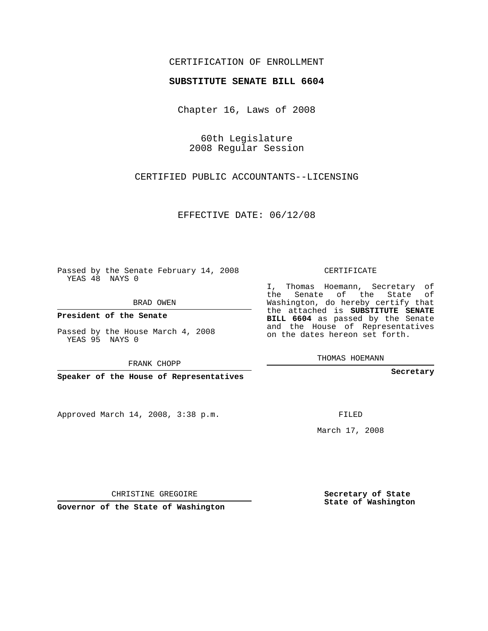## CERTIFICATION OF ENROLLMENT

## **SUBSTITUTE SENATE BILL 6604**

Chapter 16, Laws of 2008

60th Legislature 2008 Regular Session

CERTIFIED PUBLIC ACCOUNTANTS--LICENSING

EFFECTIVE DATE: 06/12/08

Passed by the Senate February 14, 2008 YEAS 48 NAYS 0

BRAD OWEN

**President of the Senate**

Passed by the House March 4, 2008 YEAS 95 NAYS 0

FRANK CHOPP

**Speaker of the House of Representatives**

Approved March 14, 2008, 3:38 p.m.

CERTIFICATE

I, Thomas Hoemann, Secretary of the Senate of the State of Washington, do hereby certify that the attached is **SUBSTITUTE SENATE BILL 6604** as passed by the Senate and the House of Representatives on the dates hereon set forth.

THOMAS HOEMANN

**Secretary**

FILED

March 17, 2008

**Secretary of State State of Washington**

CHRISTINE GREGOIRE

**Governor of the State of Washington**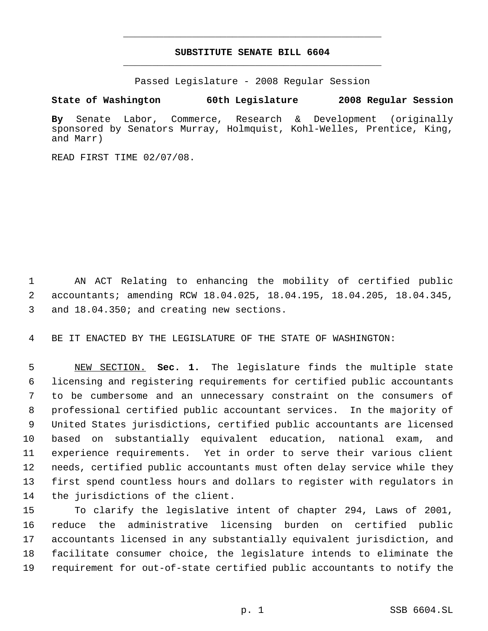## **SUBSTITUTE SENATE BILL 6604** \_\_\_\_\_\_\_\_\_\_\_\_\_\_\_\_\_\_\_\_\_\_\_\_\_\_\_\_\_\_\_\_\_\_\_\_\_\_\_\_\_\_\_\_\_

\_\_\_\_\_\_\_\_\_\_\_\_\_\_\_\_\_\_\_\_\_\_\_\_\_\_\_\_\_\_\_\_\_\_\_\_\_\_\_\_\_\_\_\_\_

Passed Legislature - 2008 Regular Session

**State of Washington 60th Legislature 2008 Regular Session**

**By** Senate Labor, Commerce, Research & Development (originally sponsored by Senators Murray, Holmquist, Kohl-Welles, Prentice, King, and Marr)

READ FIRST TIME 02/07/08.

 AN ACT Relating to enhancing the mobility of certified public accountants; amending RCW 18.04.025, 18.04.195, 18.04.205, 18.04.345, and 18.04.350; and creating new sections.

BE IT ENACTED BY THE LEGISLATURE OF THE STATE OF WASHINGTON:

 NEW SECTION. **Sec. 1.** The legislature finds the multiple state licensing and registering requirements for certified public accountants to be cumbersome and an unnecessary constraint on the consumers of professional certified public accountant services. In the majority of United States jurisdictions, certified public accountants are licensed based on substantially equivalent education, national exam, and experience requirements. Yet in order to serve their various client needs, certified public accountants must often delay service while they first spend countless hours and dollars to register with regulators in the jurisdictions of the client.

 To clarify the legislative intent of chapter 294, Laws of 2001, reduce the administrative licensing burden on certified public accountants licensed in any substantially equivalent jurisdiction, and facilitate consumer choice, the legislature intends to eliminate the requirement for out-of-state certified public accountants to notify the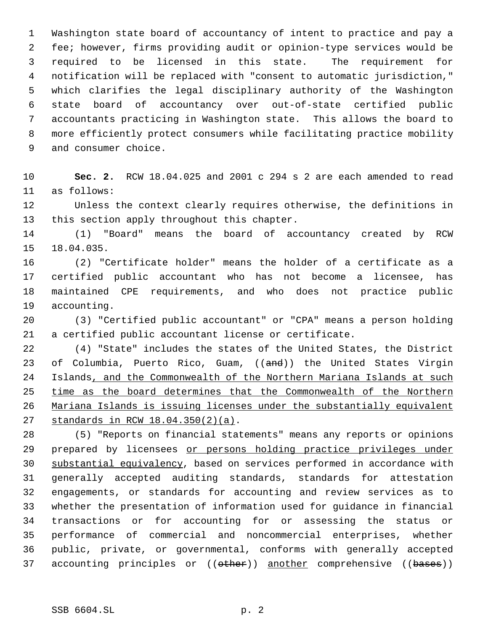Washington state board of accountancy of intent to practice and pay a fee; however, firms providing audit or opinion-type services would be required to be licensed in this state. The requirement for notification will be replaced with "consent to automatic jurisdiction," which clarifies the legal disciplinary authority of the Washington state board of accountancy over out-of-state certified public accountants practicing in Washington state. This allows the board to more efficiently protect consumers while facilitating practice mobility and consumer choice.

 **Sec. 2.** RCW 18.04.025 and 2001 c 294 s 2 are each amended to read as follows:

 Unless the context clearly requires otherwise, the definitions in this section apply throughout this chapter.

 (1) "Board" means the board of accountancy created by RCW 18.04.035.

 (2) "Certificate holder" means the holder of a certificate as a certified public accountant who has not become a licensee, has maintained CPE requirements, and who does not practice public accounting.

 (3) "Certified public accountant" or "CPA" means a person holding a certified public accountant license or certificate.

 (4) "State" includes the states of the United States, the District 23 of Columbia, Puerto Rico, Guam, ((and)) the United States Virgin 24 Islands, and the Commonwealth of the Northern Mariana Islands at such time as the board determines that the Commonwealth of the Northern Mariana Islands is issuing licenses under the substantially equivalent standards in RCW 18.04.350(2)(a).

 (5) "Reports on financial statements" means any reports or opinions 29 prepared by licensees or persons holding practice privileges under substantial equivalency, based on services performed in accordance with generally accepted auditing standards, standards for attestation engagements, or standards for accounting and review services as to whether the presentation of information used for guidance in financial transactions or for accounting for or assessing the status or performance of commercial and noncommercial enterprises, whether public, private, or governmental, conforms with generally accepted 37 accounting principles or (( $\theta$ ther)) another comprehensive (( $\theta$ ases))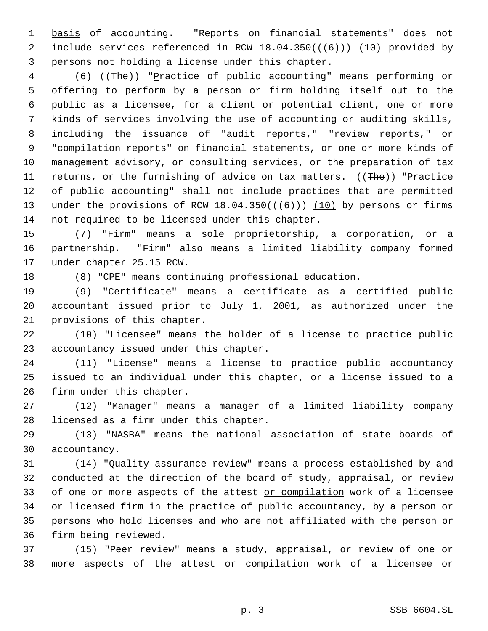basis of accounting. "Reports on financial statements" does not 2 include services referenced in RCW  $18.04.350((\leftarrow\leftarrow\leftarrow))$  (10) provided by persons not holding a license under this chapter.

 (6) ((The)) "Practice of public accounting" means performing or offering to perform by a person or firm holding itself out to the public as a licensee, for a client or potential client, one or more kinds of services involving the use of accounting or auditing skills, including the issuance of "audit reports," "review reports," or "compilation reports" on financial statements, or one or more kinds of management advisory, or consulting services, or the preparation of tax 11 returns, or the furnishing of advice on tax matters. ((The)) "Practice of public accounting" shall not include practices that are permitted 13 under the provisions of RCW  $18.04.350((\leftarrow\leftarrow\leftarrow))$  (10) by persons or firms not required to be licensed under this chapter.

 (7) "Firm" means a sole proprietorship, a corporation, or a partnership. "Firm" also means a limited liability company formed under chapter 25.15 RCW.

(8) "CPE" means continuing professional education.

 (9) "Certificate" means a certificate as a certified public accountant issued prior to July 1, 2001, as authorized under the provisions of this chapter.

 (10) "Licensee" means the holder of a license to practice public accountancy issued under this chapter.

 (11) "License" means a license to practice public accountancy issued to an individual under this chapter, or a license issued to a firm under this chapter.

 (12) "Manager" means a manager of a limited liability company licensed as a firm under this chapter.

 (13) "NASBA" means the national association of state boards of accountancy.

 (14) "Quality assurance review" means a process established by and conducted at the direction of the board of study, appraisal, or review 33 of one or more aspects of the attest or compilation work of a licensee or licensed firm in the practice of public accountancy, by a person or persons who hold licenses and who are not affiliated with the person or firm being reviewed.

 (15) "Peer review" means a study, appraisal, or review of one or 38 more aspects of the attest or compilation work of a licensee or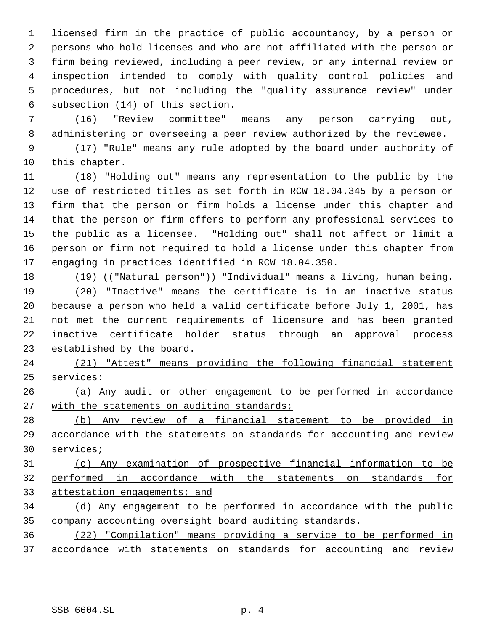licensed firm in the practice of public accountancy, by a person or persons who hold licenses and who are not affiliated with the person or firm being reviewed, including a peer review, or any internal review or inspection intended to comply with quality control policies and procedures, but not including the "quality assurance review" under subsection (14) of this section.

 (16) "Review committee" means any person carrying out, administering or overseeing a peer review authorized by the reviewee.

 (17) "Rule" means any rule adopted by the board under authority of this chapter.

 (18) "Holding out" means any representation to the public by the use of restricted titles as set forth in RCW 18.04.345 by a person or firm that the person or firm holds a license under this chapter and that the person or firm offers to perform any professional services to the public as a licensee. "Holding out" shall not affect or limit a person or firm not required to hold a license under this chapter from engaging in practices identified in RCW 18.04.350.

18 (19) (("Natural person")) "Individual" means a living, human being.

 (20) "Inactive" means the certificate is in an inactive status because a person who held a valid certificate before July 1, 2001, has not met the current requirements of licensure and has been granted inactive certificate holder status through an approval process established by the board.

 (21) "Attest" means providing the following financial statement services:

 (a) Any audit or other engagement to be performed in accordance 27 with the statements on auditing standards;

 (b) Any review of a financial statement to be provided in accordance with the statements on standards for accounting and review services;

 (c) Any examination of prospective financial information to be performed in accordance with the statements on standards for 33 attestation engagements; and

 (d) Any engagement to be performed in accordance with the public company accounting oversight board auditing standards.

 (22) "Compilation" means providing a service to be performed in accordance with statements on standards for accounting and review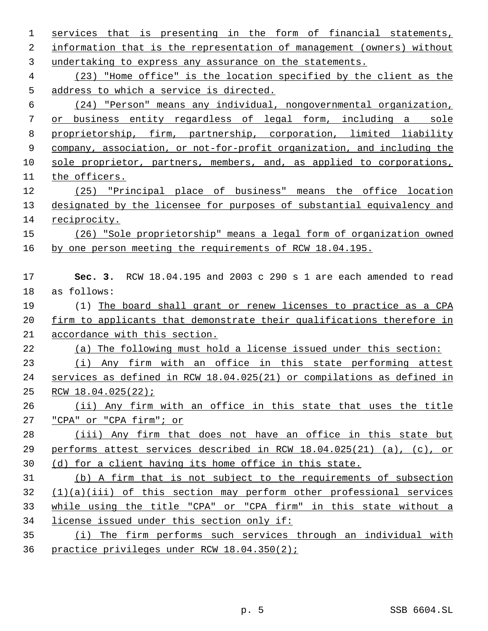| $\mathbf 1$    | services that is presenting in the form of financial statements,        |
|----------------|-------------------------------------------------------------------------|
| 2              | information that is the representation of management (owners) without   |
| 3              | undertaking to express any assurance on the statements.                 |
| $\overline{4}$ | (23) "Home office" is the location specified by the client as the       |
| 5              | address to which a service is directed.                                 |
| 6              | (24) "Person" means any individual, nongovernmental organization,       |
| 7              | or business entity regardless of legal form, including a sole           |
| 8              | proprietorship, firm, partnership, corporation, limited liability       |
| 9              | company, association, or not-for-profit organization, and including the |
| 10             | sole proprietor, partners, members, and, as applied to corporations,    |
| 11             | the officers.                                                           |
| 12             | (25) "Principal place of business" means the office location            |
| 13             | designated by the licensee for purposes of substantial equivalency and  |
| 14             | reciprocity.                                                            |
| 15             | (26) "Sole proprietorship" means a legal form of organization owned     |
| 16             | by one person meeting the requirements of RCW 18.04.195.                |
|                |                                                                         |
| 17             | Sec. 3. RCW 18.04.195 and 2003 c 290 s 1 are each amended to read       |
| 18             | as follows:                                                             |
| 19             | (1) The board shall grant or renew licenses to practice as a CPA        |
| 20             | firm to applicants that demonstrate their qualifications therefore in   |
| 21             | accordance with this section.                                           |
| 22             | (a) The following must hold a license issued under this section:        |
| 23             | (i) Any firm with an office in this state performing attest             |
| 24             | services as defined in RCW 18.04.025(21) or compilations as defined in  |
| 25             | RCW $18.04.025(22)$ ;                                                   |
| 26             | (ii) Any firm with an office in this state that uses the title          |
| 27             | "CPA" or "CPA firm"; or                                                 |
| 28             | (iii) Any firm that does not have an office in this state but           |
| 29             | performs attest services described in RCW 18.04.025(21) (a), (c), or    |
| 30             | (d) for a client having its home office in this state.                  |
| 31             | (b) A firm that is not subject to the requirements of subsection        |
| 32             | $(1)(a)(iii)$ of this section may perform other professional services   |
| 33             | while using the title "CPA" or "CPA firm" in this state without a       |
| 34             | license issued under this section only if:                              |
|                |                                                                         |
| 35             | (i) The firm performs such services through an individual with          |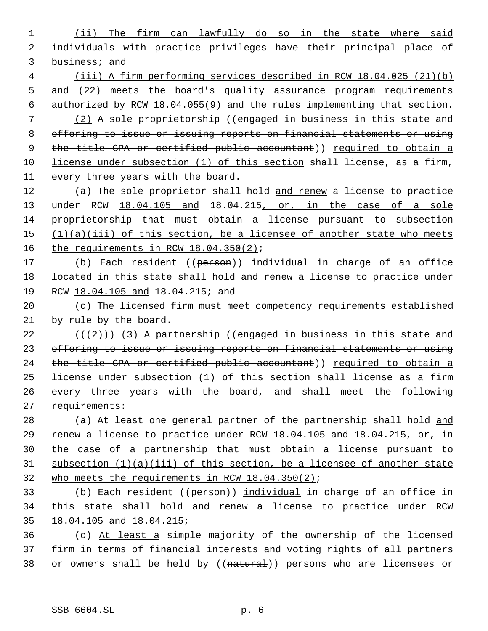1 (ii) The firm can lawfully do so in the state where said 2 individuals with practice privileges have their principal place of 3 business; and

 4 (iii) A firm performing services described in RCW 18.04.025 (21)(b) 5 and (22) meets the board's quality assurance program requirements 6 authorized by RCW 18.04.055(9) and the rules implementing that section.

 (2) A sole proprietorship ((engaged in business in this state and offering to issue or issuing reports on financial statements or using 9 the title CPA or certified public accountant)) required to obtain a license under subsection (1) of this section shall license, as a firm, every three years with the board.

12 (a) The sole proprietor shall hold and renew a license to practice 13 under RCW 18.04.105 and 18.04.215, or, in the case of a sole 14 proprietorship that must obtain a license pursuant to subsection 15  $(1)(a)(iii)$  of this section, be a licensee of another state who meets 16 the requirements in RCW 18.04.350(2);

17 (b) Each resident ((person)) individual in charge of an office 18 located in this state shall hold and renew a license to practice under 19 RCW 18.04.105 and 18.04.215; and

20 (c) The licensed firm must meet competency requirements established 21 by rule by the board.

 $((+2))$   $(3)$  A partnership ((engaged in business in this state and 23 offering to issue or issuing reports on financial statements or using 24 the title CPA or certified public accountant)) required to obtain a license under subsection (1) of this section shall license as a firm every three years with the board, and shall meet the following requirements:

28 (a) At least one general partner of the partnership shall hold and 29 renew a license to practice under RCW 18.04.105 and 18.04.215, or, in 30 the case of a partnership that must obtain a license pursuant to 31 subsection (1)(a)(iii) of this section, be a licensee of another state 32 who meets the requirements in RCW 18.04.350(2);

33 (b) Each resident ((person)) individual in charge of an office in 34 this state shall hold and renew a license to practice under RCW 35 18.04.105 and 18.04.215;

36 (c) At least a simple majority of the ownership of the licensed 37 firm in terms of financial interests and voting rights of all partners 38 or owners shall be held by ((natural)) persons who are licensees or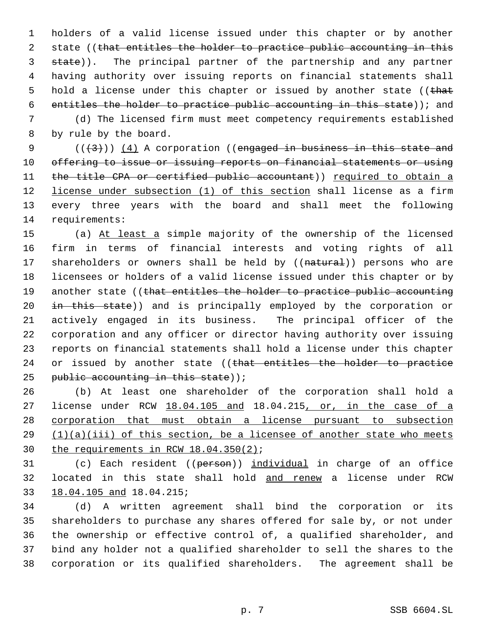holders of a valid license issued under this chapter or by another 2 state ((that entitles the holder to practice public accounting in this 3 state)). The principal partner of the partnership and any partner having authority over issuing reports on financial statements shall 5 hold a license under this chapter or issued by another state ((that entitles the holder to practice public accounting in this state)); and

 (d) The licensed firm must meet competency requirements established by rule by the board.

 $((+3))$   $(4)$  A corporation ((engaged in business in this state and offering to issue or issuing reports on financial statements or using 11 the title CPA or certified public accountant)) required to obtain a 12 license under subsection (1) of this section shall license as a firm every three years with the board and shall meet the following requirements:

 (a) At least a simple majority of the ownership of the licensed firm in terms of financial interests and voting rights of all 17 shareholders or owners shall be held by ((natural)) persons who are licensees or holders of a valid license issued under this chapter or by 19 another state ((that entitles the holder to practice public accounting 20 in this state)) and is principally employed by the corporation or actively engaged in its business. The principal officer of the corporation and any officer or director having authority over issuing reports on financial statements shall hold a license under this chapter 24 or issued by another state ((that entitles the holder to practice 25 public accounting in this state));

 (b) At least one shareholder of the corporation shall hold a 27 license under RCW 18.04.105 and 18.04.215, or, in the case of a corporation that must obtain a license pursuant to subsection (1)(a)(iii) of this section, be a licensee of another state who meets the requirements in RCW 18.04.350(2);

31 (c) Each resident ((person)) individual in charge of an office located in this state shall hold and renew a license under RCW 18.04.105 and 18.04.215;

 (d) A written agreement shall bind the corporation or its shareholders to purchase any shares offered for sale by, or not under the ownership or effective control of, a qualified shareholder, and bind any holder not a qualified shareholder to sell the shares to the corporation or its qualified shareholders. The agreement shall be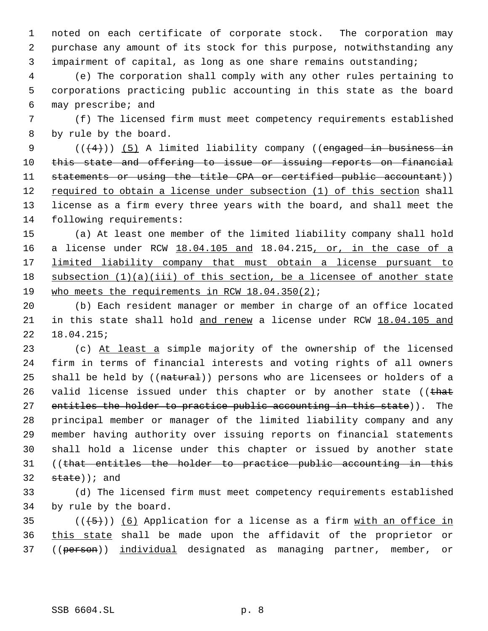noted on each certificate of corporate stock. The corporation may purchase any amount of its stock for this purpose, notwithstanding any impairment of capital, as long as one share remains outstanding;

 (e) The corporation shall comply with any other rules pertaining to corporations practicing public accounting in this state as the board may prescribe; and

 (f) The licensed firm must meet competency requirements established by rule by the board.

 $((+4))$   $(5)$  A limited liability company ((engaged in business in this state and offering to issue or issuing reports on financial statements or using the title CPA or certified public accountant)) 12 required to obtain a license under subsection (1) of this section shall license as a firm every three years with the board, and shall meet the following requirements:

 (a) At least one member of the limited liability company shall hold a license under RCW 18.04.105 and 18.04.215, or, in the case of a limited liability company that must obtain a license pursuant to 18 subsection (1)(a)(iii) of this section, be a licensee of another state 19 who meets the requirements in RCW 18.04.350(2);

 (b) Each resident manager or member in charge of an office located in this state shall hold and renew a license under RCW 18.04.105 and 18.04.215;

23 (c) At least a simple majority of the ownership of the licensed firm in terms of financial interests and voting rights of all owners 25 shall be held by ((natural)) persons who are licensees or holders of a 26 valid license issued under this chapter or by another state (( $that$ 27 entitles the holder to practice public accounting in this state)). The principal member or manager of the limited liability company and any member having authority over issuing reports on financial statements shall hold a license under this chapter or issued by another state ((that entitles the holder to practice public accounting in this state)); and

 (d) The licensed firm must meet competency requirements established by rule by the board.

35  $((+5))$  (6) Application for a license as a firm with an office in this state shall be made upon the affidavit of the proprietor or 37 ((person)) individual designated as managing partner, member, or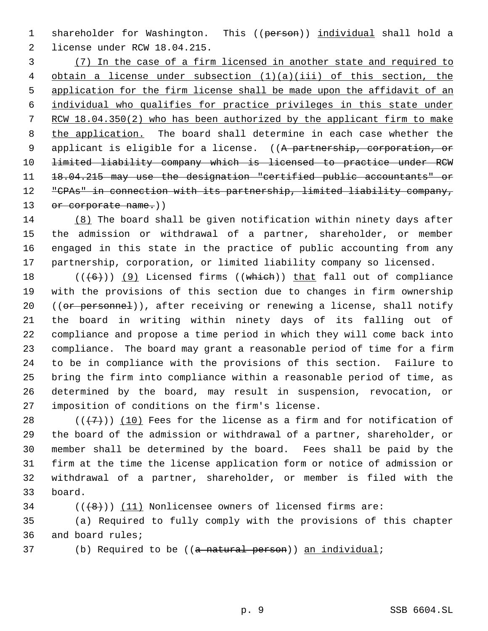1 shareholder for Washington. This ((person)) individual shall hold a license under RCW 18.04.215.

 (7) In the case of a firm licensed in another state and required to obtain a license under subsection (1)(a)(iii) of this section, the application for the firm license shall be made upon the affidavit of an individual who qualifies for practice privileges in this state under RCW 18.04.350(2) who has been authorized by the applicant firm to make the application. The board shall determine in each case whether the 9 applicant is eligible for a license. ((A partnership, corporation, or limited liability company which is licensed to practice under RCW 18.04.215 may use the designation "certified public accountants" or "CPAs" in connection with its partnership, limited liability company, 13 or corporate name.))

 (8) The board shall be given notification within ninety days after the admission or withdrawal of a partner, shareholder, or member engaged in this state in the practice of public accounting from any partnership, corporation, or limited liability company so licensed.

 $((+6))$  (9) Licensed firms ((which)) that fall out of compliance with the provisions of this section due to changes in firm ownership 20 ((or personnel)), after receiving or renewing a license, shall notify the board in writing within ninety days of its falling out of compliance and propose a time period in which they will come back into compliance. The board may grant a reasonable period of time for a firm to be in compliance with the provisions of this section. Failure to bring the firm into compliance within a reasonable period of time, as determined by the board, may result in suspension, revocation, or imposition of conditions on the firm's license.

28 ( $(\overline{+7})$ ) (10) Fees for the license as a firm and for notification of the board of the admission or withdrawal of a partner, shareholder, or member shall be determined by the board. Fees shall be paid by the firm at the time the license application form or notice of admission or withdrawal of a partner, shareholder, or member is filed with the board.

34  $((+8))$   $(11)$  Nonlicensee owners of licensed firms are:

 (a) Required to fully comply with the provisions of this chapter and board rules;

37 (b) Required to be ((a natural person)) an individual;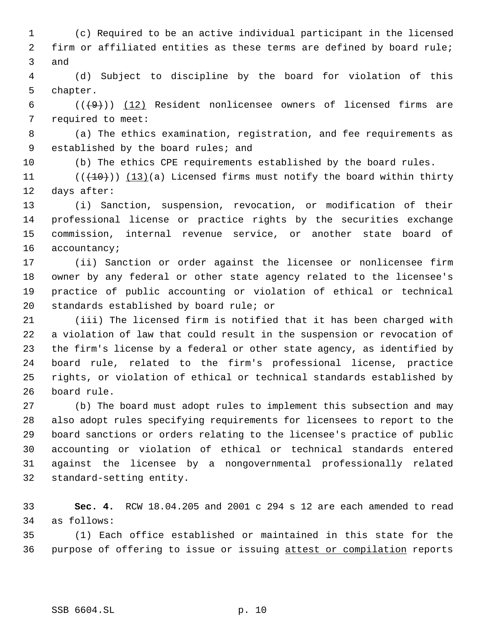(c) Required to be an active individual participant in the licensed firm or affiliated entities as these terms are defined by board rule; and

 (d) Subject to discipline by the board for violation of this chapter.

6  $((+9))$   $(12)$  Resident nonlicensee owners of licensed firms are required to meet:

 (a) The ethics examination, registration, and fee requirements as 9 established by the board rules; and

(b) The ethics CPE requirements established by the board rules.

11 ( $(\overline{(10)})$   $(13)(a)$  Licensed firms must notify the board within thirty days after:

 (i) Sanction, suspension, revocation, or modification of their professional license or practice rights by the securities exchange commission, internal revenue service, or another state board of accountancy;

 (ii) Sanction or order against the licensee or nonlicensee firm owner by any federal or other state agency related to the licensee's practice of public accounting or violation of ethical or technical standards established by board rule; or

 (iii) The licensed firm is notified that it has been charged with a violation of law that could result in the suspension or revocation of the firm's license by a federal or other state agency, as identified by board rule, related to the firm's professional license, practice rights, or violation of ethical or technical standards established by board rule.

 (b) The board must adopt rules to implement this subsection and may also adopt rules specifying requirements for licensees to report to the board sanctions or orders relating to the licensee's practice of public accounting or violation of ethical or technical standards entered against the licensee by a nongovernmental professionally related standard-setting entity.

 **Sec. 4.** RCW 18.04.205 and 2001 c 294 s 12 are each amended to read as follows:

 (1) Each office established or maintained in this state for the purpose of offering to issue or issuing attest or compilation reports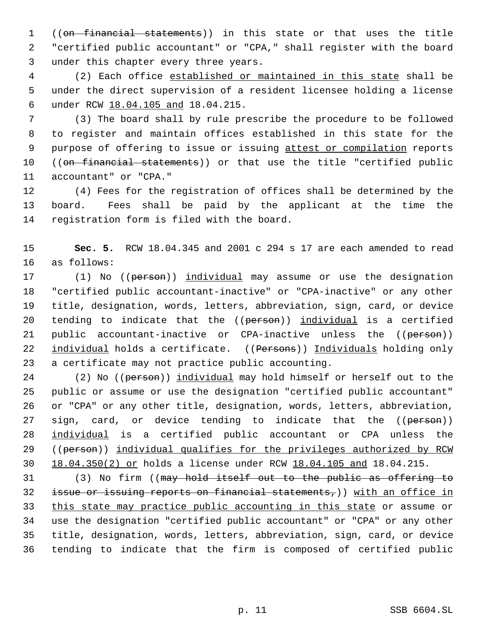((on financial statements)) in this state or that uses the title "certified public accountant" or "CPA," shall register with the board under this chapter every three years.

 (2) Each office established or maintained in this state shall be under the direct supervision of a resident licensee holding a license under RCW 18.04.105 and 18.04.215.

 (3) The board shall by rule prescribe the procedure to be followed to register and maintain offices established in this state for the 9 purpose of offering to issue or issuing attest or compilation reports 10 ((on financial statements)) or that use the title "certified public accountant" or "CPA."

 (4) Fees for the registration of offices shall be determined by the board. Fees shall be paid by the applicant at the time the registration form is filed with the board.

 **Sec. 5.** RCW 18.04.345 and 2001 c 294 s 17 are each amended to read as follows:

17 (1) No ((person)) individual may assume or use the designation "certified public accountant-inactive" or "CPA-inactive" or any other title, designation, words, letters, abbreviation, sign, card, or device 20 tending to indicate that the ((person)) individual is a certified 21 public accountant-inactive or CPA-inactive unless the ((person)) 22 individual holds a certificate. ((Persons)) Individuals holding only a certificate may not practice public accounting.

24 (2) No ((person)) individual may hold himself or herself out to the public or assume or use the designation "certified public accountant" or "CPA" or any other title, designation, words, letters, abbreviation, 27 sign, card, or device tending to indicate that the ((person)) individual is a certified public accountant or CPA unless the ((person)) individual qualifies for the privileges authorized by RCW 18.04.350(2) or holds a license under RCW 18.04.105 and 18.04.215.

 (3) No firm ((may hold itself out to the public as offering to issue or issuing reports on financial statements,)) with an office in this state may practice public accounting in this state or assume or use the designation "certified public accountant" or "CPA" or any other title, designation, words, letters, abbreviation, sign, card, or device tending to indicate that the firm is composed of certified public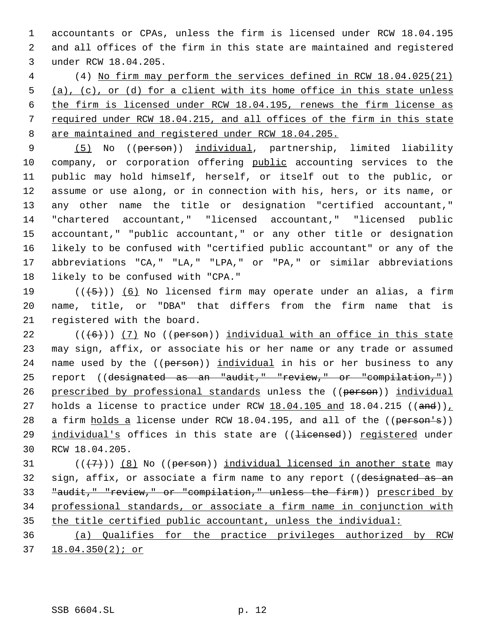accountants or CPAs, unless the firm is licensed under RCW 18.04.195 and all offices of the firm in this state are maintained and registered under RCW 18.04.205.

 (4) No firm may perform the services defined in RCW 18.04.025(21) (a), (c), or (d) for a client with its home office in this state unless the firm is licensed under RCW 18.04.195, renews the firm license as required under RCW 18.04.215, and all offices of the firm in this state are maintained and registered under RCW 18.04.205.

9 (5) No ((person)) individual, partnership, limited liability company, or corporation offering public accounting services to the public may hold himself, herself, or itself out to the public, or assume or use along, or in connection with his, hers, or its name, or any other name the title or designation "certified accountant," "chartered accountant," "licensed accountant," "licensed public accountant," "public accountant," or any other title or designation likely to be confused with "certified public accountant" or any of the abbreviations "CA," "LA," "LPA," or "PA," or similar abbreviations likely to be confused with "CPA."

19  $((+5+))$  (6) No licensed firm may operate under an alias, a firm name, title, or "DBA" that differs from the firm name that is registered with the board.

22  $((\langle 6 \rangle) )$  (7) No ((person)) individual with an office in this state may sign, affix, or associate his or her name or any trade or assumed 24 name used by the ((person)) individual in his or her business to any 25 report ((designated as an "audit," "review," or "compilation,")) 26 prescribed by professional standards unless the ((person)) individual 27 holds a license to practice under RCW  $18.04.105$  and  $18.04.215$  ((and))<sub> $\perp$ </sub> 28 a firm holds a license under RCW 18.04.195, and all of the ((person's)) 29 individual's offices in this state are ((<del>licensed</del>)) registered under RCW 18.04.205.

 $((\langle 7 \rangle)(8)$  No ((person)) individual licensed in another state may 32 sign, affix, or associate a firm name to any report ((designated as an "audit," "review," or "compilation," unless the firm)) prescribed by professional standards, or associate a firm name in conjunction with the title certified public accountant, unless the individual:

 (a) Qualifies for the practice privileges authorized by RCW 18.04.350(2); or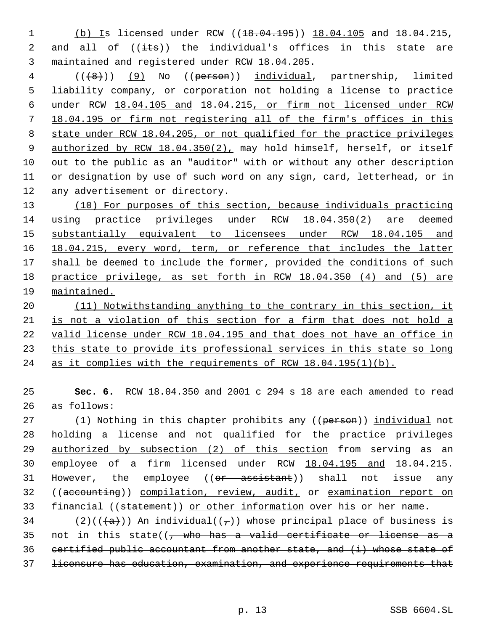1 (b) Is licensed under RCW ((18.04.195)) 18.04.105 and 18.04.215, 2 and all of  $((\text{its}))$  the individual's offices in this state are 3 maintained and registered under RCW 18.04.205.

4 (((8)) (9) No ((person)) individual, partnership, limited liability company, or corporation not holding a license to practice under RCW 18.04.105 and 18.04.215, or firm not licensed under RCW 18.04.195 or firm not registering all of the firm's offices in this state under RCW 18.04.205, or not qualified for the practice privileges 9 authorized by RCW 18.04.350(2), may hold himself, herself, or itself out to the public as an "auditor" with or without any other description or designation by use of such word on any sign, card, letterhead, or in any advertisement or directory.

 (10) For purposes of this section, because individuals practicing using practice privileges under RCW 18.04.350(2) are deemed substantially equivalent to licensees under RCW 18.04.105 and 16 18.04.215, every word, term, or reference that includes the latter 17 shall be deemed to include the former, provided the conditions of such practice privilege, as set forth in RCW 18.04.350 (4) and (5) are maintained.

 (11) Notwithstanding anything to the contrary in this section, it is not a violation of this section for a firm that does not hold a valid license under RCW 18.04.195 and that does not have an office in 23 this state to provide its professional services in this state so long as it complies with the requirements of RCW 18.04.195(1)(b).

25 **Sec. 6.** RCW 18.04.350 and 2001 c 294 s 18 are each amended to read 26 as follows:

27 (1) Nothing in this chapter prohibits any ((person)) individual not 28 holding a license and not qualified for the practice privileges 29 authorized by subsection (2) of this section from serving as an 30 employee of a firm licensed under RCW 18.04.195 and 18.04.215. 31 However, the employee ((<del>or assistant</del>)) shall not issue any 32 ((accounting)) compilation, review, audit, or examination report on 33 financial ((statement)) or other information over his or her name.

34 (2)(( $\left(\frac{1}{a}\right)$ ) An individual(( $\frac{1}{b}$ )) whose principal place of business is 35 not in this state( $\left($ , who has a valid certificate or license as a 36 certified public accountant from another state, and (i) whose state of 37 licensure has education, examination, and experience requirements that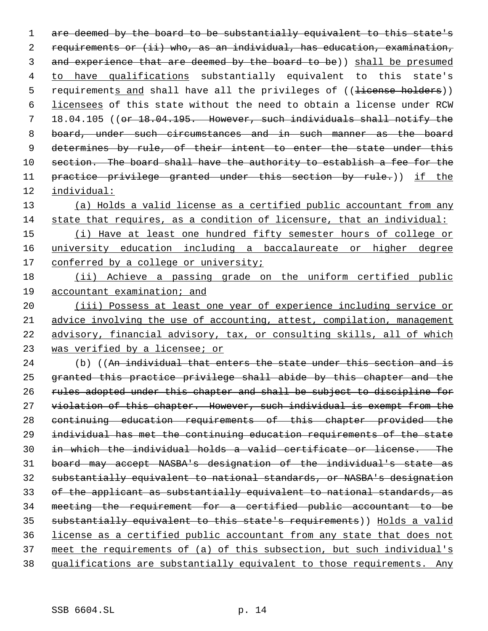1 are deemed by the board to be substantially equivalent to this state's requirements or (ii) who, as an individual, has education, examination, 3 and experience that are deemed by the board to be)) shall be presumed to have qualifications substantially equivalent to this state's 5 requirements and shall have all the privileges of ((<del>license holders</del>)) licensees of this state without the need to obtain a license under RCW 18.04.105 ((or 18.04.195. However, such individuals shall notify the 8 board, under such circumstances and in such manner as the board 9 determines by rule, of their intent to enter the state under this 10 section. The board shall have the authority to establish a fee for the 11 practice privilege granted under this section by rule.)) if the individual:

 (a) Holds a valid license as a certified public accountant from any state that requires, as a condition of licensure, that an individual:

 (i) Have at least one hundred fifty semester hours of college or university education including a baccalaureate or higher degree 17 conferred by a college or university;

 (ii) Achieve a passing grade on the uniform certified public accountant examination; and

20 (iii) Possess at least one year of experience including service or advice involving the use of accounting, attest, compilation, management advisory, financial advisory, tax, or consulting skills, all of which 23 was verified by a licensee; or

24 (b) ((An individual that enters the state under this section and is granted this practice privilege shall abide by this chapter and the rules adopted under this chapter and shall be subject to discipline for 27 violation of this chapter. However, such individual is exempt from the continuing education requirements of this chapter provided the individual has met the continuing education requirements of the state in which the individual holds a valid certificate or license. The board may accept NASBA's designation of the individual's state as substantially equivalent to national standards, or NASBA's designation of the applicant as substantially equivalent to national standards, as meeting the requirement for a certified public accountant to be substantially equivalent to this state's requirements)) Holds a valid license as a certified public accountant from any state that does not meet the requirements of (a) of this subsection, but such individual's qualifications are substantially equivalent to those requirements. Any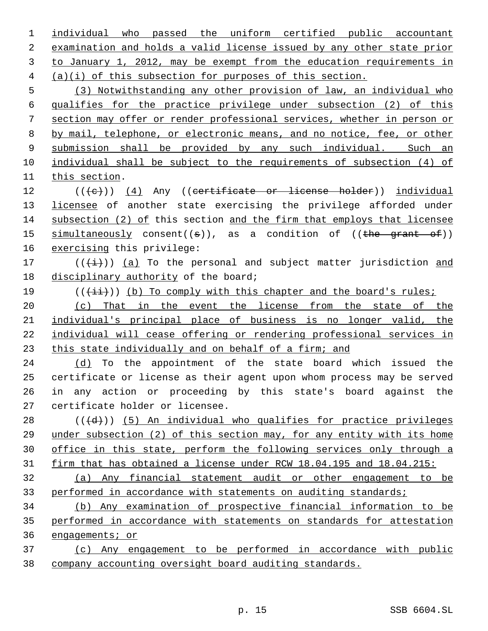individual who passed the uniform certified public accountant examination and holds a valid license issued by any other state prior to January 1, 2012, may be exempt from the education requirements in (a)(i) of this subsection for purposes of this section. (3) Notwithstanding any other provision of law, an individual who qualifies for the practice privilege under subsection (2) of this section may offer or render professional services, whether in person or by mail, telephone, or electronic means, and no notice, fee, or other submission shall be provided by any such individual. Such an individual shall be subject to the requirements of subsection (4) of this section. 12 (((e)) (4) Any ((certificate or license holder)) individual 13 licensee of another state exercising the privilege afforded under subsection (2) of this section and the firm that employs that licensee  $simultaneously constant((s)),$  as a condition of  $((the grant of))$ 16 exercising this privilege: 17 ( $(\frac{1}{1})$ ) (a) To the personal and subject matter jurisdiction and 18 disciplinary authority of the board; 19 ( $(\frac{1+i}{i})$ ) (b) To comply with this chapter and the board's rules; (c) That in the event the license from the state of the individual's principal place of business is no longer valid, the individual will cease offering or rendering professional services in this state individually and on behalf of a firm; and (d) To the appointment of the state board which issued the certificate or license as their agent upon whom process may be served in any action or proceeding by this state's board against the certificate holder or licensee. (( $\left(\frac{d}{d}\right)$ ) (5) An individual who qualifies for practice privileges under subsection (2) of this section may, for any entity with its home office in this state, perform the following services only through a firm that has obtained a license under RCW 18.04.195 and 18.04.215: (a) Any financial statement audit or other engagement to be performed in accordance with statements on auditing standards; (b) Any examination of prospective financial information to be performed in accordance with statements on standards for attestation engagements; or (c) Any engagement to be performed in accordance with public company accounting oversight board auditing standards.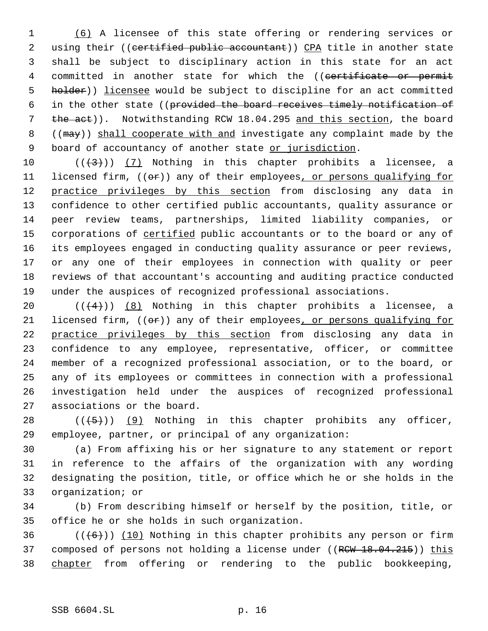1 (6) A licensee of this state offering or rendering services or 2 using their ((certified public accountant)) CPA title in another state 3 shall be subject to disciplinary action in this state for an act 4 committed in another state for which the ((certificate or permit 5 holder)) licensee would be subject to discipline for an act committed 6 in the other state ((provided the board receives timely notification of 7 the act)). Notwithstanding RCW 18.04.295 and this section, the board 8 ((may)) shall cooperate with and investigate any complaint made by the 9 board of accountancy of another state or jurisdiction.

 $((\langle 3 \rangle)(7)$  Nothing in this chapter prohibits a licensee, a 11 licensed firm, ((or)) any of their employees, or persons qualifying for 12 practice privileges by this section from disclosing any data in confidence to other certified public accountants, quality assurance or peer review teams, partnerships, limited liability companies, or 15 corporations of certified public accountants or to the board or any of its employees engaged in conducting quality assurance or peer reviews, or any one of their employees in connection with quality or peer reviews of that accountant's accounting and auditing practice conducted under the auspices of recognized professional associations.

 $((+4))$   $(8)$  Nothing in this chapter prohibits a licensee, a 21 licensed firm,  $((\theta \cdot \tau))$  any of their employees, or persons qualifying for 22 practice privileges by this section from disclosing any data in confidence to any employee, representative, officer, or committee member of a recognized professional association, or to the board, or any of its employees or committees in connection with a professional investigation held under the auspices of recognized professional associations or the board.

28  $((+5))$  (9) Nothing in this chapter prohibits any officer, 29 employee, partner, or principal of any organization:

 (a) From affixing his or her signature to any statement or report in reference to the affairs of the organization with any wording designating the position, title, or office which he or she holds in the organization; or

34 (b) From describing himself or herself by the position, title, or 35 office he or she holds in such organization.

36  $((+6))$   $(10)$  Nothing in this chapter prohibits any person or firm 37 composed of persons not holding a license under ((RCW 18.04.215)) this 38 chapter from offering or rendering to the public bookkeeping,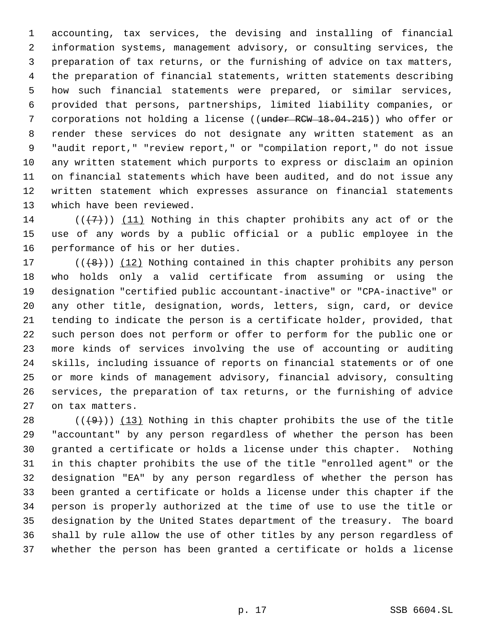accounting, tax services, the devising and installing of financial information systems, management advisory, or consulting services, the preparation of tax returns, or the furnishing of advice on tax matters, the preparation of financial statements, written statements describing how such financial statements were prepared, or similar services, provided that persons, partnerships, limited liability companies, or 7 corporations not holding a license ((under RCW 18.04.215)) who offer or render these services do not designate any written statement as an "audit report," "review report," or "compilation report," do not issue any written statement which purports to express or disclaim an opinion on financial statements which have been audited, and do not issue any written statement which expresses assurance on financial statements which have been reviewed.

14 ( $(\langle 7 \rangle)$ ) (11) Nothing in this chapter prohibits any act of or the use of any words by a public official or a public employee in the performance of his or her duties.

 $((+8))$   $(12)$  Nothing contained in this chapter prohibits any person who holds only a valid certificate from assuming or using the designation "certified public accountant-inactive" or "CPA-inactive" or any other title, designation, words, letters, sign, card, or device tending to indicate the person is a certificate holder, provided, that such person does not perform or offer to perform for the public one or more kinds of services involving the use of accounting or auditing skills, including issuance of reports on financial statements or of one or more kinds of management advisory, financial advisory, consulting services, the preparation of tax returns, or the furnishing of advice on tax matters.

 $((+9))$   $(13)$  Nothing in this chapter prohibits the use of the title "accountant" by any person regardless of whether the person has been granted a certificate or holds a license under this chapter. Nothing in this chapter prohibits the use of the title "enrolled agent" or the designation "EA" by any person regardless of whether the person has been granted a certificate or holds a license under this chapter if the person is properly authorized at the time of use to use the title or designation by the United States department of the treasury. The board shall by rule allow the use of other titles by any person regardless of whether the person has been granted a certificate or holds a license